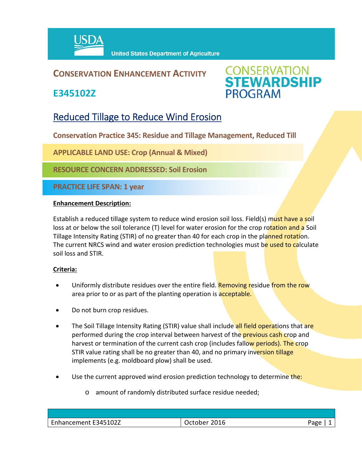

## **CONSERVATION ENHANCEMENT ACTIVITY**

**E345102Z**



# Reduced Tillage to Reduce Wind Erosion

**Conservation Practice 345: Residue and Tillage Management, Reduced Till** 

**APPLICABLE LAND USE: Crop (Annual & Mixed)**

**RESOURCE CONCERN ADDRESSED: Soil Erosion**

**PRACTICE LIFE SPAN: 1 year**

#### **Enhancement Description:**

Establish a reduced tillage system to reduce wind erosion soil loss. Field(s) must have a soil loss at or below the soil tolerance (T) level for water erosion for the crop rotation and a Soil Tillage Intensity Rating (STIR) of no greater than 40 for each crop in the planned rotation. The current NRCS wind and water erosion prediction technologies must be used to calculate soil loss and STIR.

### **Criteria:**

- Uniformly distribute residues over the entire field. Removing residue from the row area prior to or as part of the planting operation is acceptable.
- Do not burn crop residues.
- The Soil Tillage Intensity Rating (STIR) value shall include all field operations that are performed during the crop interval between harvest of the **previous cash crop** and harvest or termination of the current cash crop (includes fallow periods). The crop STIR value rating shall be no greater than 40, and no primary inversion tillage implements (e.g. moldboard plow) shall be used.
- Use the current approved wind erosion prediction technology to determine the:
	- o amount of randomly distributed surface residue needed;

| Enhancement E345102Z | 2016<br>Jctober | Page |
|----------------------|-----------------|------|